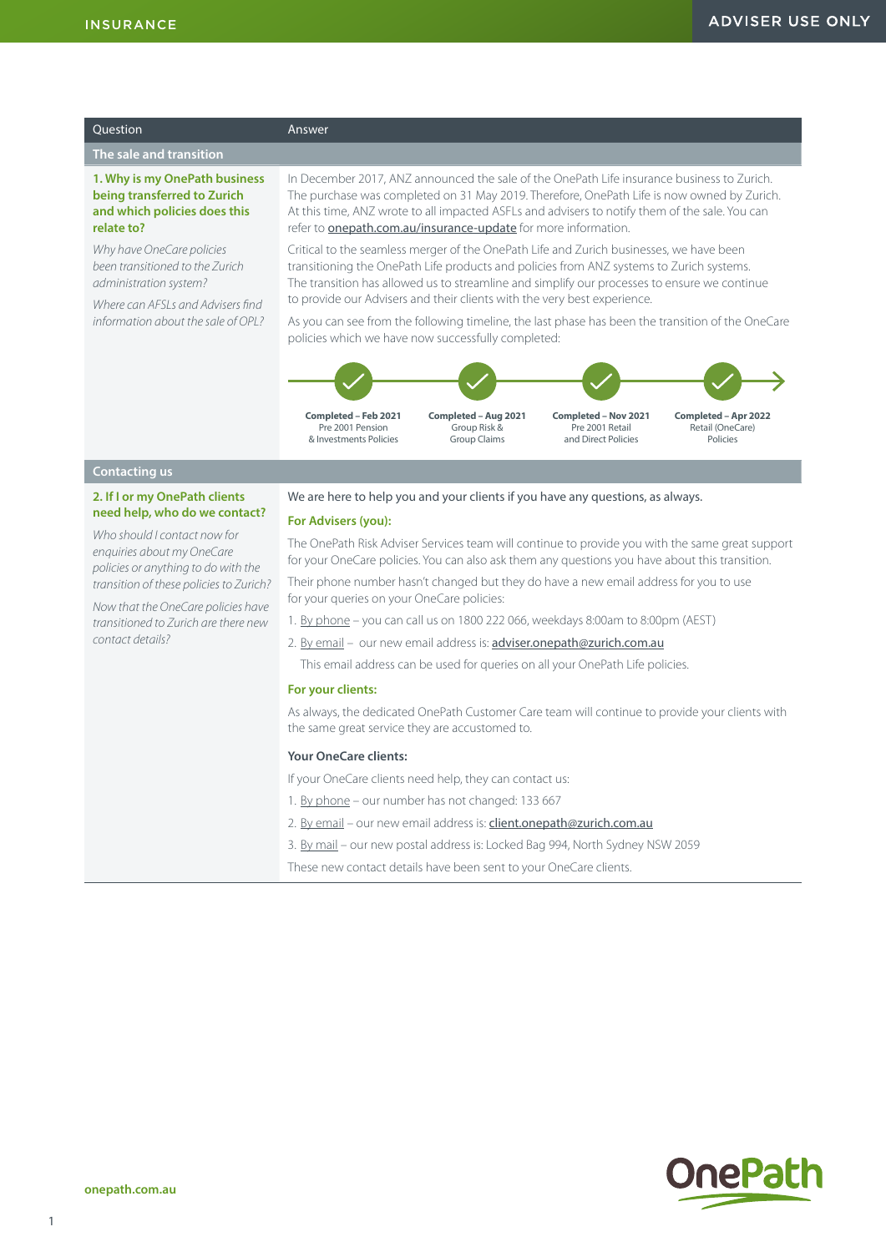| Ouestion                                                                                                                                                           | Answer                                                                                                                                                                                                                                                                                                                                                              |
|--------------------------------------------------------------------------------------------------------------------------------------------------------------------|---------------------------------------------------------------------------------------------------------------------------------------------------------------------------------------------------------------------------------------------------------------------------------------------------------------------------------------------------------------------|
| The sale and transition                                                                                                                                            |                                                                                                                                                                                                                                                                                                                                                                     |
| 1. Why is my OnePath business<br>being transferred to Zurich<br>and which policies does this<br>relate to?                                                         | In December 2017, ANZ announced the sale of the OnePath Life insurance business to Zurich.<br>The purchase was completed on 31 May 2019. Therefore, OnePath Life is now owned by Zurich.<br>At this time, ANZ wrote to all impacted ASFLs and advisers to notify them of the sale. You can<br>refer to <b>onepath.com.au/insurance-update</b> for more information. |
| Why have OneCare policies<br>been transitioned to the Zurich<br>administration system?<br>Where can AFSI s and Advisers find<br>information about the sale of OPI? | Critical to the seamless merger of the OnePath Life and Zurich businesses, we have been<br>transitioning the OnePath Life products and policies from ANZ systems to Zurich systems.<br>The transition has allowed us to streamline and simplify our processes to ensure we continue<br>to provide our Advisers and their clients with the very best experience.     |
|                                                                                                                                                                    | As you can see from the following timeline, the last phase has been the transition of the OneCare<br>policies which we have now successfully completed:                                                                                                                                                                                                             |
|                                                                                                                                                                    | Completed - Feb 2021<br>Completed - Aug 2021<br>Completed - Nov 2021<br>Completed - Apr 2022<br>Pre 2001 Pension<br>Group Risk &<br>Pre 2001 Retail<br>Retail (OneCare)<br>and Direct Policies<br>& Investments Policies<br><b>Group Claims</b><br>Policies                                                                                                         |
| <b>Contacting us</b>                                                                                                                                               |                                                                                                                                                                                                                                                                                                                                                                     |
| 2. If I or my OnePath clients<br>need help, who do we contact?                                                                                                     | We are here to help you and your clients if you have any questions, as always.<br><b>For Advisers (vou):</b>                                                                                                                                                                                                                                                        |

*Who should I contact now for enquiries about my OneCare policies or anything to do with the transition of these policies to Zurich?*

*Now that the OneCare policies have transitioned to Zurich are there new contact details?*

#### **For Advisers (you):**

The OnePath Risk Adviser Services team will continue to provide you with the same great support for your OneCare policies. You can also ask them any questions you have about this transition.

Their phone number hasn't changed but they do have a new email address for you to use for your queries on your OneCare policies:

1. By phone – you can call us on 1800 222 066, weekdays 8:00am to 8:00pm (AEST)

2. By email - our new email address is: **adviser.onepath@zurich.com.au** 

This email address can be used for queries on all your OnePath Life policies.

#### **For your clients:**

As always, the dedicated OnePath Customer Care team will continue to provide your clients with the same great service they are accustomed to.

## **Your OneCare clients:**

If your OneCare clients need help, they can contact us:

- 1. By phone our number has not changed: 133 667
- 2. By email our new email address is: client.onepath@zurich.com.au
- 3. By mail our new postal address is: Locked Bag 994, North Sydney NSW 2059

These new contact details have been sent to your OneCare clients.

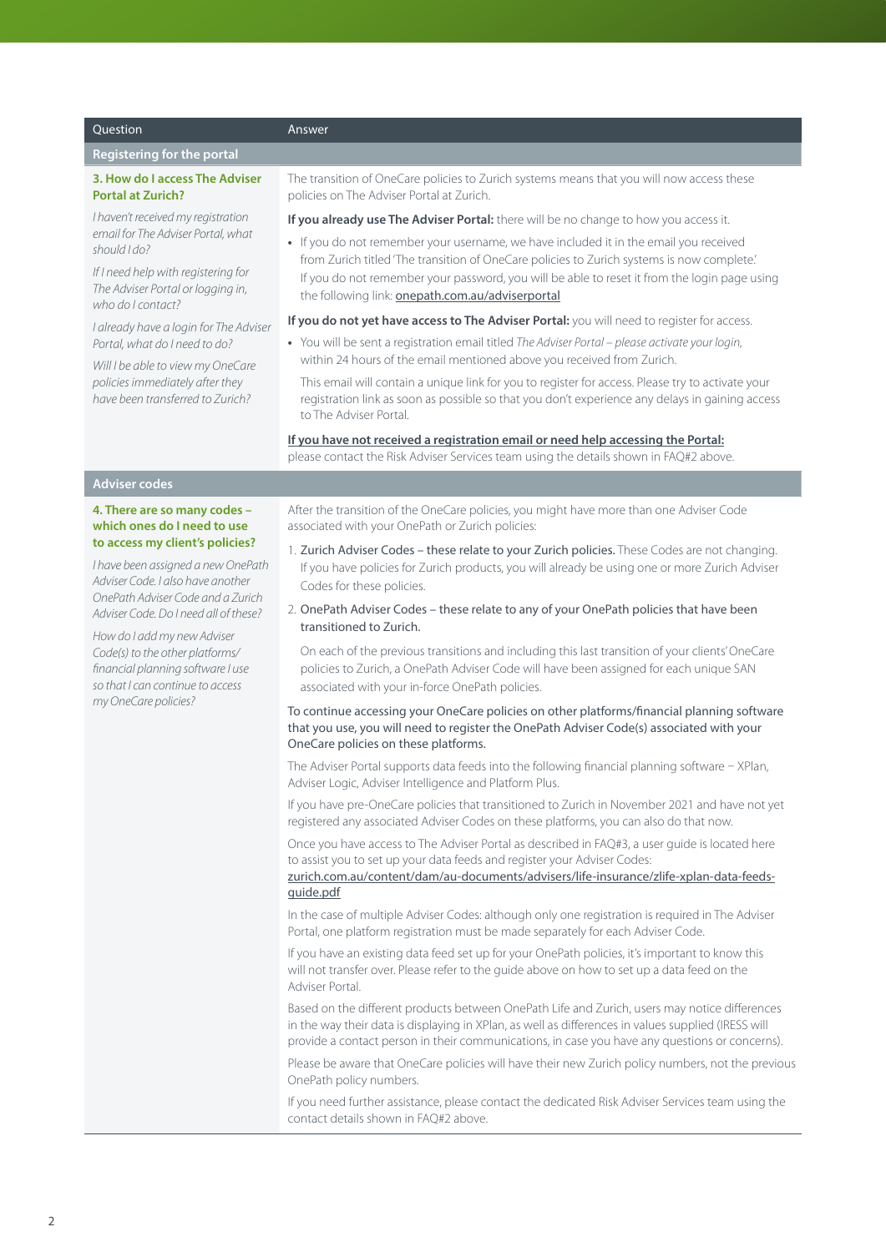#### Question Answer

#### **Registering for the portal**

#### **3. How do I access The Adviser Portal at Zurich?**

*I haven't received my registration email for The Adviser Portal, what should I do?*

*If I need help with registering for The Adviser Portal or logging in, who do I contact?*

*I already have a login for The Adviser Portal, what do I need to do?*

*Will I be able to view my OneCare policies immediately after they have been transferred to Zurich?*

The transition of OneCare policies to Zurich systems means that you will now access these policies on The Adviser Portal at Zurich.

**If you already use The Adviser Portal:** there will be no change to how you access it.

**•** If you do not remember your username, we have included it in the email you received from Zurich titled 'The transition of OneCare policies to Zurich systems is now complete.' If you do not remember your password, you will be able to reset it from the login page using the following link: **[onepath.com.au/adviserportal](http://onepath.com.au/adviserportal)** 

#### **If you do not yet have access to The Adviser Portal:** you will need to register for access.

**•** You will be sent a registration email titled *The Adviser Portal – please activate your login,* within 24 hours of the email mentioned above you received from Zurich.

This email will contain a unique link for you to register for access. Please try to activate your registration link as soon as possible so that you don't experience any delays in gaining access to The Adviser Portal.

**If you have not received a registration email or need help accessing the Portal:** please contact the Risk Adviser Services team using the details shown in FAQ#2 above.

# **Adviser codes**

#### **4. There are so many codes – which ones do I need to use to access my client's policies?**

*I have been assigned a new OnePath Adviser Code. I also have another OnePath Adviser Code and a Zurich Adviser Code. Do I need all of these?*

*How do I add my new Adviser Code(s) to the other platforms/ financial planning software I use so that I can continue to access my OneCare policies?*

After the transition of the OneCare policies, you might have more than one Adviser Code associated with your OnePath or Zurich policies:

- 1. Zurich Adviser Codes these relate to your Zurich policies. These Codes are not changing. If you have policies for Zurich products, you will already be using one or more Zurich Adviser Codes for these policies.
- 2. OnePath Adviser Codes these relate to any of your OnePath policies that have been transitioned to Zurich.

On each of the previous transitions and including this last transition of your clients' OneCare policies to Zurich, a OnePath Adviser Code will have been assigned for each unique SAN associated with your in-force OnePath policies.

### To continue accessing your OneCare policies on other platforms/financial planning software that you use, you will need to register the OnePath Adviser Code(s) associated with your OneCare policies on these platforms.

The Adviser Portal supports data feeds into the following financial planning software – XPlan, Adviser Logic, Adviser Intelligence and Platform Plus.

If you have pre-OneCare policies that transitioned to Zurich in November 2021 and have not yet registered any associated Adviser Codes on these platforms, you can also do that now.

Once you have access to The Adviser Portal as described in FAQ#3, a user guide is located here to assist you to set up your data feeds and register your Adviser Codes:

[zurich.com.au/content/dam/au-documents/advisers/life-insurance/zlife-xplan-data-feeds](http://zurich.com.au/content/dam/au-documents/advisers/life-insurance/zlife-xplan-data-feeds-guide.pdf)[guide.pdf](http://zurich.com.au/content/dam/au-documents/advisers/life-insurance/zlife-xplan-data-feeds-guide.pdf)

In the case of multiple Adviser Codes: although only one registration is required in The Adviser Portal, one platform registration must be made separately for each Adviser Code.

If you have an existing data feed set up for your OnePath policies, it's important to know this will not transfer over. Please refer to the guide above on how to set up a data feed on the Adviser Portal.

Based on the different products between OnePath Life and Zurich, users may notice differences in the way their data is displaying in XPlan, as well as differences in values supplied (IRESS will provide a contact person in their communications, in case you have any questions or concerns).

Please be aware that OneCare policies will have their new Zurich policy numbers, not the previous OnePath policy numbers.

If you need further assistance, please contact the dedicated Risk Adviser Services team using the contact details shown in FAQ#2 above.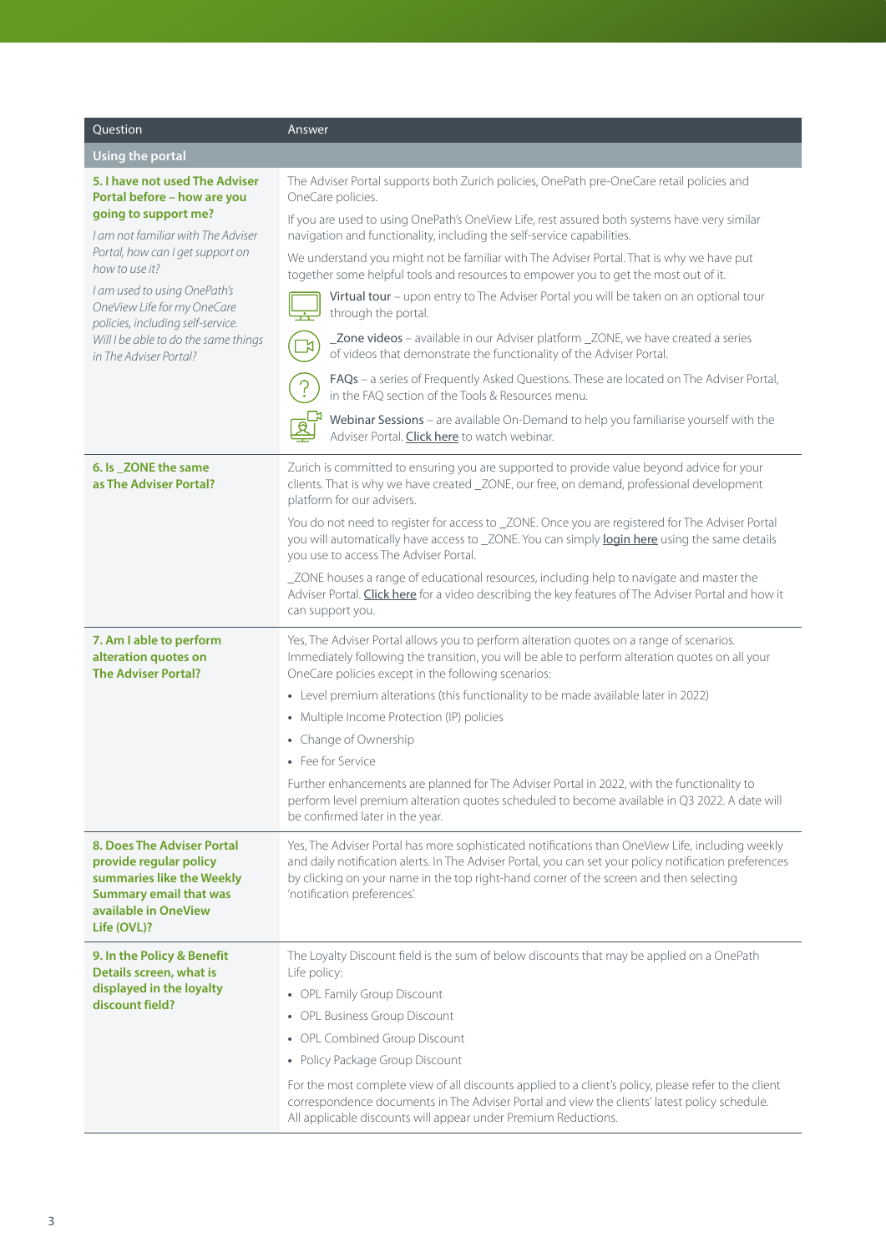| <b>Ouestion</b>                                                                                                                                                                                                                                                                                                                                         | Answer                                                                                                                                                                                                                                                                                                                              |
|---------------------------------------------------------------------------------------------------------------------------------------------------------------------------------------------------------------------------------------------------------------------------------------------------------------------------------------------------------|-------------------------------------------------------------------------------------------------------------------------------------------------------------------------------------------------------------------------------------------------------------------------------------------------------------------------------------|
| Using the portal                                                                                                                                                                                                                                                                                                                                        |                                                                                                                                                                                                                                                                                                                                     |
| 5. I have not used The Adviser<br>Portal before - how are you<br>going to support me?<br>I am not familiar with The Adviser<br>Portal, how can I get support on<br>how to use it?<br>I am used to using OnePath's<br>OneView Life for my OneCare<br>policies, including self-service.<br>Will I be able to do the same things<br>in The Adviser Portal? | The Adviser Portal supports both Zurich policies, OnePath pre-OneCare retail policies and<br>OneCare policies.                                                                                                                                                                                                                      |
|                                                                                                                                                                                                                                                                                                                                                         | If you are used to using OnePath's OneView Life, rest assured both systems have very similar<br>navigation and functionality, including the self-service capabilities.                                                                                                                                                              |
|                                                                                                                                                                                                                                                                                                                                                         | We understand you might not be familiar with The Adviser Portal. That is why we have put<br>together some helpful tools and resources to empower you to get the most out of it.                                                                                                                                                     |
|                                                                                                                                                                                                                                                                                                                                                         | Virtual tour - upon entry to The Adviser Portal you will be taken on an optional tour<br>through the portal.                                                                                                                                                                                                                        |
|                                                                                                                                                                                                                                                                                                                                                         | _Zone videos - available in our Adviser platform _ZONE, we have created a series<br>of videos that demonstrate the functionality of the Adviser Portal.                                                                                                                                                                             |
|                                                                                                                                                                                                                                                                                                                                                         | FAQs - a series of Frequently Asked Questions. These are located on The Adviser Portal,<br>in the FAO section of the Tools & Resources menu.                                                                                                                                                                                        |
|                                                                                                                                                                                                                                                                                                                                                         | Webinar Sessions - are available On-Demand to help you familiarise yourself with the<br>Adviser Portal. Click here to watch webinar.                                                                                                                                                                                                |
| 6. Is ZONE the same<br>as The Adviser Portal?                                                                                                                                                                                                                                                                                                           | Zurich is committed to ensuring you are supported to provide value beyond advice for your<br>clients. That is why we have created _ZONE, our free, on demand, professional development<br>platform for our advisers.                                                                                                                |
|                                                                                                                                                                                                                                                                                                                                                         | You do not need to register for access to _ZONE. Once you are registered for The Adviser Portal<br>you will automatically have access to _ZONE. You can simply login here using the same details<br>you use to access The Adviser Portal.                                                                                           |
|                                                                                                                                                                                                                                                                                                                                                         | _ZONE houses a range of educational resources, including help to navigate and master the<br>Adviser Portal. Click here for a video describing the key features of The Adviser Portal and how it<br>can support you.                                                                                                                 |
| 7. Am I able to perform<br>alteration quotes on<br><b>The Adviser Portal?</b>                                                                                                                                                                                                                                                                           | Yes, The Adviser Portal allows you to perform alteration quotes on a range of scenarios.<br>Immediately following the transition, you will be able to perform alteration quotes on all your<br>OneCare policies except in the following scenarios:                                                                                  |
|                                                                                                                                                                                                                                                                                                                                                         | • Level premium alterations (this functionality to be made available later in 2022)                                                                                                                                                                                                                                                 |
|                                                                                                                                                                                                                                                                                                                                                         | • Multiple Income Protection (IP) policies                                                                                                                                                                                                                                                                                          |
|                                                                                                                                                                                                                                                                                                                                                         | • Change of Ownership                                                                                                                                                                                                                                                                                                               |
|                                                                                                                                                                                                                                                                                                                                                         | • Fee for Service                                                                                                                                                                                                                                                                                                                   |
|                                                                                                                                                                                                                                                                                                                                                         | Further enhancements are planned for The Adviser Portal in 2022, with the functionality to<br>perform level premium alteration quotes scheduled to become available in Q3 2022. A date will<br>be confirmed later in the year.                                                                                                      |
| 8. Does The Adviser Portal<br>provide regular policy<br>summaries like the Weekly<br><b>Summary email that was</b><br>available in OneView<br>Life (OVL)?                                                                                                                                                                                               | Yes, The Adviser Portal has more sophisticated notifications than OneView Life, including weekly<br>and daily notification alerts. In The Adviser Portal, you can set your policy notification preferences<br>by clicking on your name in the top right-hand corner of the screen and then selecting<br>'notification preferences'. |
| 9. In the Policy & Benefit<br>Details screen, what is<br>displayed in the loyalty<br>discount field?                                                                                                                                                                                                                                                    | The Loyalty Discount field is the sum of below discounts that may be applied on a OnePath<br>Life policy:                                                                                                                                                                                                                           |
|                                                                                                                                                                                                                                                                                                                                                         | • OPL Family Group Discount                                                                                                                                                                                                                                                                                                         |
|                                                                                                                                                                                                                                                                                                                                                         | • OPL Business Group Discount                                                                                                                                                                                                                                                                                                       |
|                                                                                                                                                                                                                                                                                                                                                         | • OPL Combined Group Discount                                                                                                                                                                                                                                                                                                       |
|                                                                                                                                                                                                                                                                                                                                                         | • Policy Package Group Discount                                                                                                                                                                                                                                                                                                     |
|                                                                                                                                                                                                                                                                                                                                                         | For the most complete view of all discounts applied to a client's policy, please refer to the client<br>correspondence documents in The Adviser Portal and view the clients' latest policy schedule.<br>All applicable discounts will appear under Premium Reductions.                                                              |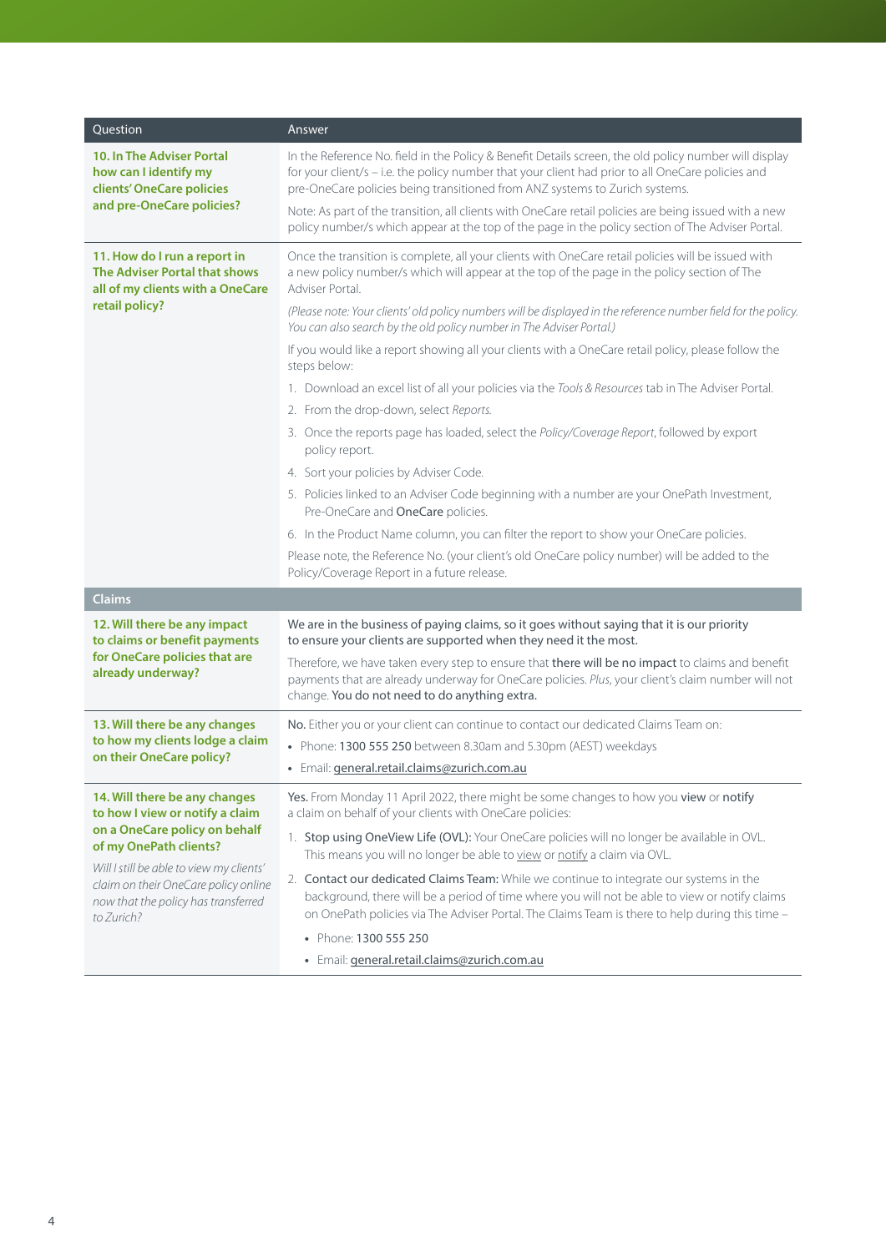| Question                                                                                                                                                                                                                                                             | Answer                                                                                                                                                                                                                                                                                       |
|----------------------------------------------------------------------------------------------------------------------------------------------------------------------------------------------------------------------------------------------------------------------|----------------------------------------------------------------------------------------------------------------------------------------------------------------------------------------------------------------------------------------------------------------------------------------------|
| <b>10. In The Adviser Portal</b><br>how can I identify my<br>clients' OneCare policies<br>and pre-OneCare policies?                                                                                                                                                  | In the Reference No. field in the Policy & Benefit Details screen, the old policy number will display<br>for your client/s - i.e. the policy number that your client had prior to all OneCare policies and<br>pre-OneCare policies being transitioned from ANZ systems to Zurich systems.    |
|                                                                                                                                                                                                                                                                      | Note: As part of the transition, all clients with OneCare retail policies are being issued with a new<br>policy number/s which appear at the top of the page in the policy section of The Adviser Portal.                                                                                    |
| 11. How do I run a report in<br>The Adviser Portal that shows<br>all of my clients with a OneCare<br>retail policy?                                                                                                                                                  | Once the transition is complete, all your clients with OneCare retail policies will be issued with<br>a new policy number/s which will appear at the top of the page in the policy section of The<br>Adviser Portal.                                                                         |
|                                                                                                                                                                                                                                                                      | (Please note: Your clients' old policy numbers will be displayed in the reference number field for the policy.<br>You can also search by the old policy number in The Adviser Portal.)                                                                                                       |
|                                                                                                                                                                                                                                                                      | If you would like a report showing all your clients with a OneCare retail policy, please follow the<br>steps below:                                                                                                                                                                          |
|                                                                                                                                                                                                                                                                      | 1. Download an excel list of all your policies via the Tools & Resources tab in The Adviser Portal.                                                                                                                                                                                          |
|                                                                                                                                                                                                                                                                      | 2. From the drop-down, select Reports.                                                                                                                                                                                                                                                       |
|                                                                                                                                                                                                                                                                      | 3. Once the reports page has loaded, select the Policy/Coverage Report, followed by export<br>policy report.                                                                                                                                                                                 |
|                                                                                                                                                                                                                                                                      | 4. Sort your policies by Adviser Code.                                                                                                                                                                                                                                                       |
|                                                                                                                                                                                                                                                                      | 5. Policies linked to an Adviser Code beginning with a number are your OnePath Investment,<br>Pre-OneCare and OneCare policies.                                                                                                                                                              |
|                                                                                                                                                                                                                                                                      | 6. In the Product Name column, you can filter the report to show your OneCare policies.                                                                                                                                                                                                      |
|                                                                                                                                                                                                                                                                      | Please note, the Reference No. (your client's old OneCare policy number) will be added to the<br>Policy/Coverage Report in a future release.                                                                                                                                                 |
| <b>Claims</b>                                                                                                                                                                                                                                                        |                                                                                                                                                                                                                                                                                              |
| 12. Will there be any impact<br>to claims or benefit payments<br>for OneCare policies that are<br>already underway?                                                                                                                                                  | We are in the business of paying claims, so it goes without saying that it is our priority<br>to ensure your clients are supported when they need it the most.                                                                                                                               |
|                                                                                                                                                                                                                                                                      | Therefore, we have taken every step to ensure that there will be no impact to claims and benefit<br>payments that are already underway for OneCare policies. Plus, your client's claim number will not<br>change. You do not need to do anything extra.                                      |
| 13. Will there be any changes<br>to how my clients lodge a claim<br>on their OneCare policy?                                                                                                                                                                         | No. Either you or your client can continue to contact our dedicated Claims Team on:                                                                                                                                                                                                          |
|                                                                                                                                                                                                                                                                      | • Phone: 1300 555 250 between 8.30am and 5.30pm (AEST) weekdays                                                                                                                                                                                                                              |
|                                                                                                                                                                                                                                                                      | · Email: general.retail.claims@zurich.com.au                                                                                                                                                                                                                                                 |
| 14. Will there be any changes<br>to how I view or notify a claim<br>on a OneCare policy on behalf<br>of my OnePath clients?<br>Will I still be able to view my clients'<br>claim on their OneCare policy online<br>now that the policy has transferred<br>to Zurich? | Yes. From Monday 11 April 2022, there might be some changes to how you view or notify<br>a claim on behalf of your clients with OneCare policies:                                                                                                                                            |
|                                                                                                                                                                                                                                                                      | 1. Stop using OneView Life (OVL): Your OneCare policies will no longer be available in OVL.<br>This means you will no longer be able to view or notify a claim via OVL.                                                                                                                      |
|                                                                                                                                                                                                                                                                      | 2. Contact our dedicated Claims Team: While we continue to integrate our systems in the<br>background, there will be a period of time where you will not be able to view or notify claims<br>on OnePath policies via The Adviser Portal. The Claims Team is there to help during this time - |
|                                                                                                                                                                                                                                                                      | • Phone: 1300 555 250                                                                                                                                                                                                                                                                        |
|                                                                                                                                                                                                                                                                      | · Email: general.retail.claims@zurich.com.au                                                                                                                                                                                                                                                 |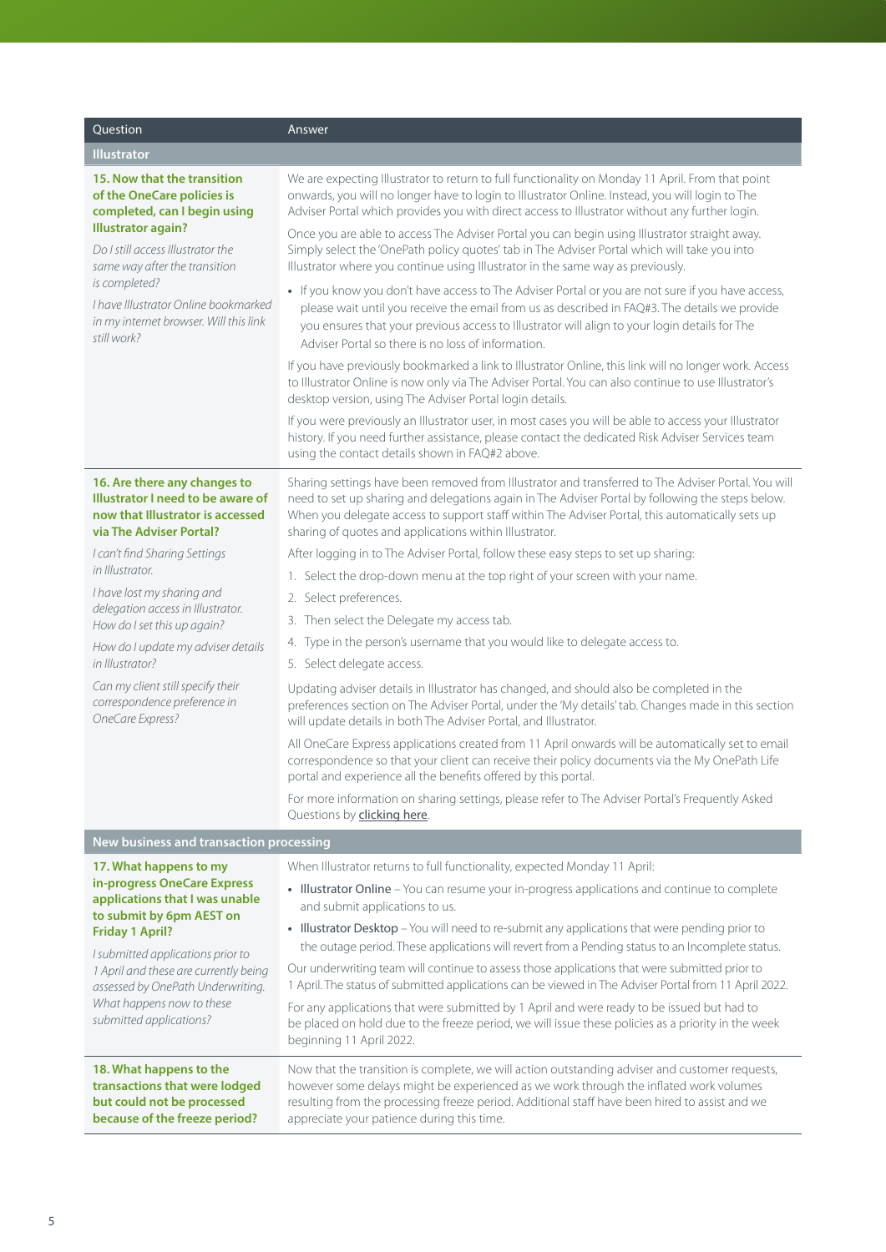| Question                                                                                                                                                                                                                                                                                                       | Answer                                                                                                                                                                                                                                                                                                                                                               |
|----------------------------------------------------------------------------------------------------------------------------------------------------------------------------------------------------------------------------------------------------------------------------------------------------------------|----------------------------------------------------------------------------------------------------------------------------------------------------------------------------------------------------------------------------------------------------------------------------------------------------------------------------------------------------------------------|
| <b>Illustrator</b>                                                                                                                                                                                                                                                                                             |                                                                                                                                                                                                                                                                                                                                                                      |
| 15. Now that the transition<br>of the OneCare policies is<br>completed, can I begin using<br><b>Illustrator again?</b><br>Do I still access Illustrator the<br>same way after the transition<br>is completed?<br>I have Illustrator Online bookmarked<br>in my internet browser. Will this link<br>still work? | We are expecting Illustrator to return to full functionality on Monday 11 April. From that point<br>onwards, you will no longer have to login to Illustrator Online. Instead, you will login to The<br>Adviser Portal which provides you with direct access to Illustrator without any further login.                                                                |
|                                                                                                                                                                                                                                                                                                                | Once you are able to access The Adviser Portal you can begin using Illustrator straight away.<br>Simply select the 'OnePath policy quotes' tab in The Adviser Portal which will take you into<br>Illustrator where you continue using Illustrator in the same way as previously.                                                                                     |
|                                                                                                                                                                                                                                                                                                                | • If you know you don't have access to The Adviser Portal or you are not sure if you have access,<br>please wait until you receive the email from us as described in FAQ#3. The details we provide<br>you ensures that your previous access to Illustrator will align to your login details for The<br>Adviser Portal so there is no loss of information.            |
|                                                                                                                                                                                                                                                                                                                | If you have previously bookmarked a link to Illustrator Online, this link will no longer work. Access<br>to Illustrator Online is now only via The Adviser Portal. You can also continue to use Illustrator's<br>desktop version, using The Adviser Portal login details.                                                                                            |
|                                                                                                                                                                                                                                                                                                                | If you were previously an Illustrator user, in most cases you will be able to access your Illustrator<br>history. If you need further assistance, please contact the dedicated Risk Adviser Services team<br>using the contact details shown in FAQ#2 above.                                                                                                         |
| 16. Are there any changes to<br>Illustrator I need to be aware of<br>now that Illustrator is accessed<br>via The Adviser Portal?                                                                                                                                                                               | Sharing settings have been removed from Illustrator and transferred to The Adviser Portal. You will<br>need to set up sharing and delegations again in The Adviser Portal by following the steps below.<br>When you delegate access to support staff within The Adviser Portal, this automatically sets up<br>sharing of quotes and applications within Illustrator. |
| I can't find Sharing Settings                                                                                                                                                                                                                                                                                  | After logging in to The Adviser Portal, follow these easy steps to set up sharing:                                                                                                                                                                                                                                                                                   |
| in Illustrator.                                                                                                                                                                                                                                                                                                | 1. Select the drop-down menu at the top right of your screen with your name.                                                                                                                                                                                                                                                                                         |
| I have lost my sharing and<br>delegation access in Illustrator.                                                                                                                                                                                                                                                | 2. Select preferences.                                                                                                                                                                                                                                                                                                                                               |
| How do I set this up again?                                                                                                                                                                                                                                                                                    | 3. Then select the Delegate my access tab.                                                                                                                                                                                                                                                                                                                           |
| How do I update my adviser details                                                                                                                                                                                                                                                                             | 4. Type in the person's username that you would like to delegate access to.                                                                                                                                                                                                                                                                                          |
| in Illustrator?                                                                                                                                                                                                                                                                                                | 5. Select delegate access.                                                                                                                                                                                                                                                                                                                                           |
| Can my client still specify their<br>correspondence preference in<br>OneCare Express?                                                                                                                                                                                                                          | Updating adviser details in Illustrator has changed, and should also be completed in the<br>preferences section on The Adviser Portal, under the 'My details' tab. Changes made in this section<br>will update details in both The Adviser Portal, and Illustrator.                                                                                                  |
|                                                                                                                                                                                                                                                                                                                | All OneCare Express applications created from 11 April onwards will be automatically set to email<br>correspondence so that your client can receive their policy documents via the My OnePath Life<br>portal and experience all the benefits offered by this portal.                                                                                                 |
|                                                                                                                                                                                                                                                                                                                | For more information on sharing settings, please refer to The Adviser Portal's Frequently Asked<br>Questions by clicking here.                                                                                                                                                                                                                                       |
| New business and transaction processing                                                                                                                                                                                                                                                                        |                                                                                                                                                                                                                                                                                                                                                                      |
| 17. What happens to my                                                                                                                                                                                                                                                                                         | When Illustrator returns to full functionality, expected Monday 11 April:                                                                                                                                                                                                                                                                                            |
| in-progress OneCare Express<br>applications that I was unable<br>to submit by 6pm AEST on                                                                                                                                                                                                                      | • Illustrator Online - You can resume your in-progress applications and continue to complete<br>and submit applications to us.                                                                                                                                                                                                                                       |
| <b>Friday 1 April?</b><br>I submitted applications prior to                                                                                                                                                                                                                                                    | • Illustrator Desktop - You will need to re-submit any applications that were pending prior to<br>the outage period. These applications will revert from a Pending status to an Incomplete status.                                                                                                                                                                   |
| 1 April and these are currently being<br>assessed by OnePath Underwriting.<br>What happens now to these<br>submitted applications?                                                                                                                                                                             | Our underwriting team will continue to assess those applications that were submitted prior to<br>1 April. The status of submitted applications can be viewed in The Adviser Portal from 11 April 2022.                                                                                                                                                               |
|                                                                                                                                                                                                                                                                                                                | For any applications that were submitted by 1 April and were ready to be issued but had to<br>be placed on hold due to the freeze period, we will issue these policies as a priority in the week<br>beginning 11 April 2022.                                                                                                                                         |
| 18. What happens to the<br>transactions that were lodged<br>but could not be processed<br>because of the freeze period?                                                                                                                                                                                        | Now that the transition is complete, we will action outstanding adviser and customer requests,<br>however some delays might be experienced as we work through the inflated work volumes<br>resulting from the processing freeze period. Additional staff have been hired to assist and we<br>appreciate your patience during this time.                              |